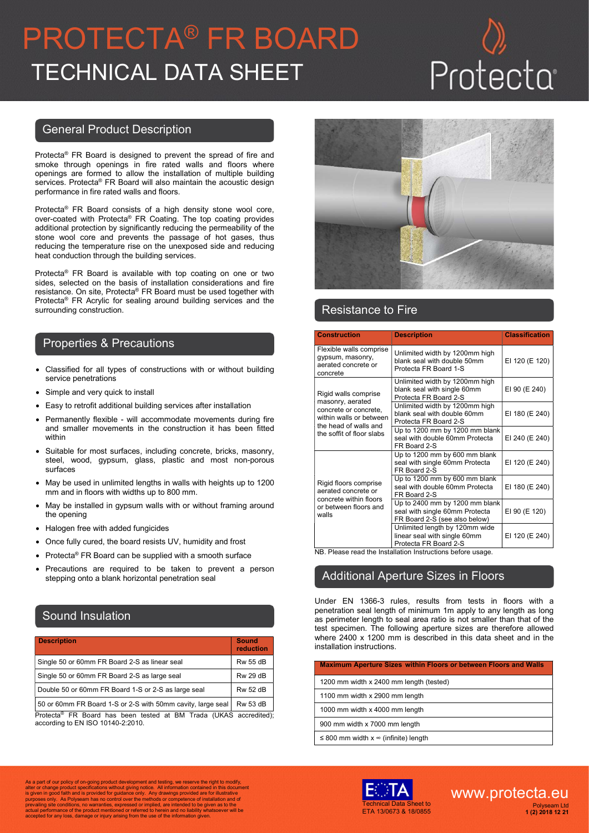# PROTECTA® FR BOARD TECHNICAL DATA SHEET

## General Product Description

Protecta® FR Board is designed to prevent the spread of fire and smoke through openings in fire rated walls and floors where openings are formed to allow the installation of multiple building services. Protecta® FR Board will also maintain the acoustic design performance in fire rated walls and floors.

Protecta® FR Board consists of a high density stone wool core, over-coated with Protecta® FR Coating. The top coating provides additional protection by significantly reducing the permeability of the stone wool core and prevents the passage of hot gases, thus reducing the temperature rise on the unexposed side and reducing heat conduction through the building services.

Protecta® FR Board is available with top coating on one or two sides, selected on the basis of installation considerations and fire resistance. On site, Protecta® FR Board must be used together with Protecta® FR Acrylic for sealing around building services and the surrounding construction.

### Properties & Precautions

- Classified for all types of constructions with or without building service penetrations
- Simple and very quick to install
- Easy to retrofit additional building services after installation
- Permanently flexible will accommodate movements during fire and smaller movements in the construction it has been fitted within
- Suitable for most surfaces, including concrete, bricks, masonry, steel, wood, gypsum, glass, plastic and most non-porous surfaces
- May be used in unlimited lengths in walls with heights up to 1200 mm and in floors with widths up to 800 mm.
- May be installed in gypsum walls with or without framing around the opening
- Halogen free with added fungicides
- Once fully cured, the board resists UV, humidity and frost
- Protecta® FR Board can be supplied with a smooth surface
- Precautions are required to be taken to prevent a person stepping onto a blank horizontal penetration seal

# Sound Insulation

| <b>Description</b>                                  | <b>Sound</b><br>reduction |
|-----------------------------------------------------|---------------------------|
| Single 50 or 60mm FR Board 2-S as linear seal       | <b>Rw 55 dB</b>           |
| Single 50 or 60mm FR Board 2-S as large seal        | <b>Rw 29 dB</b>           |
| Double 50 or 60mm FR Board 1-S or 2-S as large seal | <b>Rw 52 dB</b>           |
| FO 00 FBB 140 00 11 FO 11 1 1                       | ---                       |

50 or 60mm FR Board 1-S or 2-S with 50mm cavity, large seal  $\mid$  Rw 53 dB  $\mid$ Protecta® FR Board has been tested at BM Trada (UKAS accredited); according to EN ISO 10140-2:2010.



## Resistance to Fire

| <b>Construction</b>                                                                                                                                | <b>Description</b>                                                                                | <b>Classification</b> |
|----------------------------------------------------------------------------------------------------------------------------------------------------|---------------------------------------------------------------------------------------------------|-----------------------|
| Flexible walls comprise<br>gypsum, masonry,<br>aerated concrete or<br>concrete                                                                     | Unlimited width by 1200mm high<br>blank seal with double 50mm<br>Protecta FR Board 1-S            | EI 120 (E 120)        |
| Rigid walls comprise<br>masonry, aerated<br>concrete or concrete,<br>within walls or between<br>the head of walls and<br>the soffit of floor slabs | Unlimited width by 1200mm high<br>blank seal with single 60mm<br>Protecta FR Board 2-S            | EI 90 (E 240)         |
|                                                                                                                                                    | Unlimited width by 1200mm high<br>blank seal with double 60mm<br>Protecta FR Board 2-S            | EI 180 (E 240)        |
|                                                                                                                                                    | Up to 1200 mm by 1200 mm blank<br>seal with double 60mm Protecta<br>FR Board 2-S                  | EI 240 (E 240)        |
| Rigid floors comprise<br>aerated concrete or<br>concrete within floors<br>or between floors and<br>walls                                           | Up to 1200 mm by 600 mm blank<br>seal with single 60mm Protecta<br>FR Board 2-S                   | EI 120 (E 240)        |
|                                                                                                                                                    | Up to 1200 mm by 600 mm blank<br>seal with double 60mm Protecta<br>FR Board 2-S                   | EI 180 (E 240)        |
|                                                                                                                                                    | Up to 2400 mm by 1200 mm blank<br>seal with single 60mm Protecta<br>FR Board 2-S (see also below) | EI 90 (E 120)         |
|                                                                                                                                                    | Unlimited length by 120mm wide<br>linear seal with single 60mm<br>Protecta FR Board 2-S           | EI 120 (E 240)        |
|                                                                                                                                                    | NB. Please read the Installation Instructions before usage.                                       |                       |

### Additional Aperture Sizes in Floors

Under EN 1366-3 rules, results from tests in floors with a penetration seal length of minimum 1m apply to any length as long as perimeter length to seal area ratio is not smaller than that of the test specimen. The following aperture sizes are therefore allowed where 2400 x 1200 mm is described in this data sheet and in the installation instructions.

| <b>Maximum Aperture Sizes within Floors or between Floors and Walls</b> |
|-------------------------------------------------------------------------|
| 1200 mm width x 2400 mm length (tested)                                 |
| 1100 mm width x 2900 mm length                                          |
| 1000 mm width x 4000 mm length                                          |
| 900 mm width x 7000 mm length                                           |
| ≤ 800 mm width $x \approx$ (infinite) length                            |

As a part of our policy of on-going product development and testing, we reserve the right to modify,<br>alter or change product specifications without giving notice. All information contained in this document<br>is given in good Accepted for any loss, damage or injury arising from the use of the information given.<br>accepted for any loss, damage or injury arising from the use of the information given.